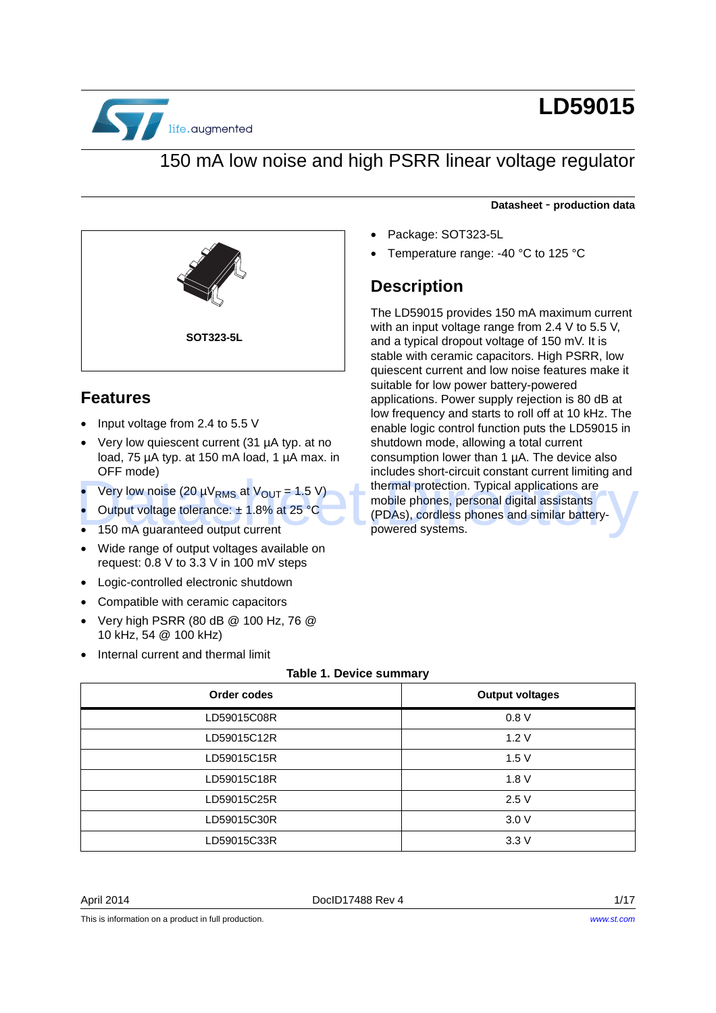

# **LD59015**

#### 150 mA low noise and high PSRR linear voltage regulator

#### **Datasheet** - **production data**

- Package: SOT323-5L
- Temperature range: -40 °C to 125 °C

#### **Description**

The LD59015 provides 150 mA maximum current with an input voltage range from 2.4 V to 5.5 V. and a typical dropout voltage of 150 mV. It is stable with ceramic capacitors. High PSRR, low quiescent current and low noise features make it suitable for low power battery-powered applications. Power supply rejection is 80 dB at low frequency and starts to roll off at 10 kHz. The enable logic control function puts the LD59015 in shutdown mode, allowing a total current consumption lower than 1 µA. The device also includes short-circuit constant current limiting and thermal protection. Typical applications are mobile phones, personal digital assistants (PDAs), cordless phones and similar batterypowered systems. • Very low noise (20  $\mu$ V<sub>RMS</sub> at V<sub>OUT</sub> = 1.5 V) thermal protection. Typical applications are<br> **Output voltage tolerance:**  $\pm$  1.8% at 25 °C (PDAs), cordless phones and similar battery-<br>
150 mA guaranteed output curren



#### **Features**

- Input voltage from 2.4 to 5.5 V
- Very low quiescent current (31 µA typ. at no load, 75 µA typ. at 150 mA load, 1 µA max. in OFF mode)
- Very low noise (20  $\mu$ V<sub>RMS</sub> at V<sub>OUT</sub> = 1.5 V)
- Output voltage tolerance:  $\pm$  1.8% at 25 °C
- 150 mA guaranteed output current
- Wide range of output voltages available on request: 0.8 V to 3.3 V in 100 mV steps
- Logic-controlled electronic shutdown
- Compatible with ceramic capacitors
- Very high PSRR (80 dB @ 100 Hz, 76 @ 10 kHz, 54 @ 100 kHz)
- Internal current and thermal limit

#### **Table 1. Device summary**

<span id="page-0-0"></span>

| Order codes | <b>Output voltages</b> |
|-------------|------------------------|
| LD59015C08R | 0.8V                   |
| LD59015C12R | 1.2V                   |
| LD59015C15R | 1.5V                   |
| LD59015C18R | 1.8V                   |
| LD59015C25R | 2.5V                   |
| LD59015C30R | 3.0V                   |
| LD59015C33R | 3.3V                   |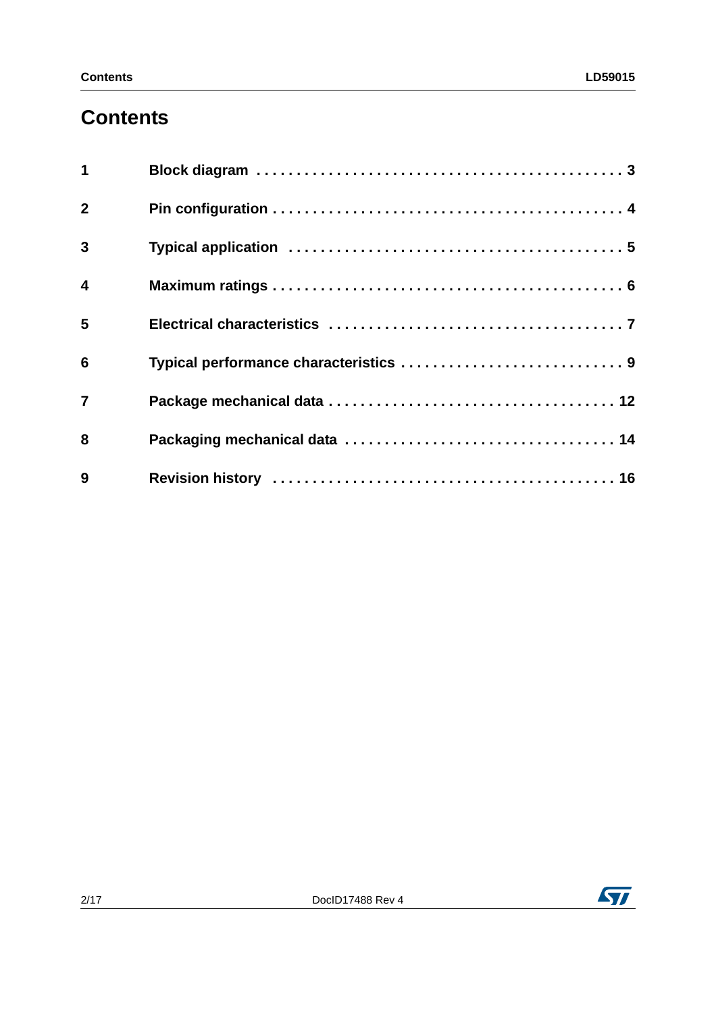### **Contents**

| $\overline{\mathbf{1}}$ |  |
|-------------------------|--|
| $\overline{2}$          |  |
| $\overline{3}$          |  |
| $\overline{\mathbf{4}}$ |  |
| 5                       |  |
| $6\phantom{1}6$         |  |
| $\overline{7}$          |  |
| 8                       |  |
| 9                       |  |

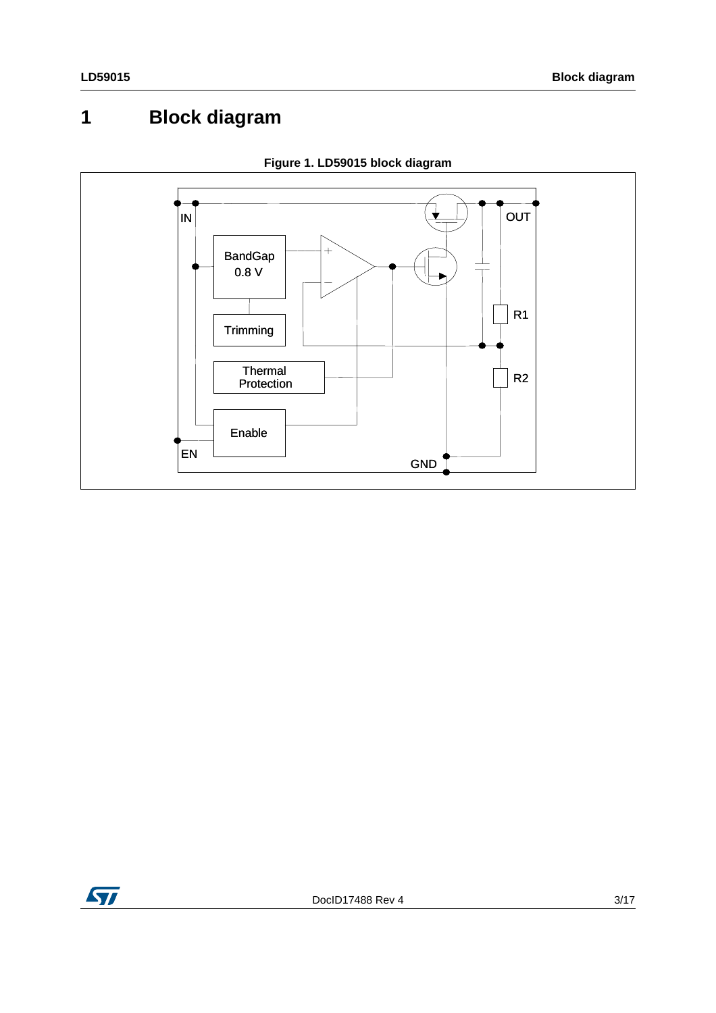## <span id="page-2-0"></span>**1 Block diagram**



**Figure 1. LD59015 block diagram**

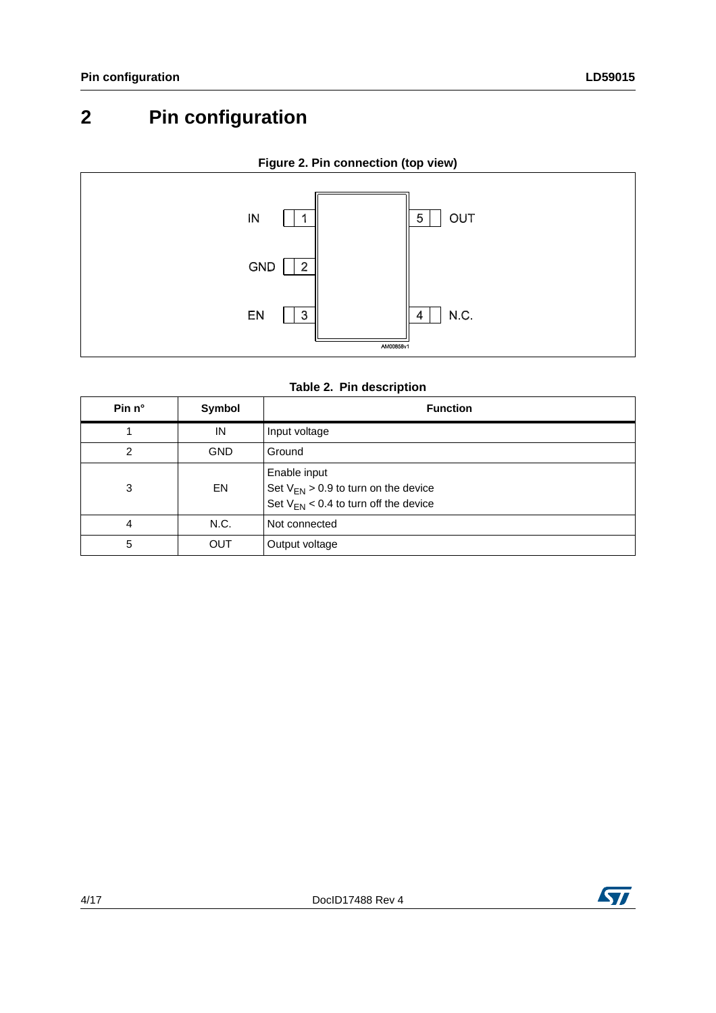## <span id="page-3-0"></span>**2 Pin configuration**



**Figure 2. Pin connection (top view)**

| Table 2. Pin description |  |  |  |
|--------------------------|--|--|--|
|--------------------------|--|--|--|

| Pin $n^{\circ}$ | Symbol     | <b>Function</b>                                                                                       |
|-----------------|------------|-------------------------------------------------------------------------------------------------------|
|                 | IN         | Input voltage                                                                                         |
| $\overline{2}$  | <b>GND</b> | Ground                                                                                                |
| 3               | EN         | Enable input<br>Set $V_{EN}$ > 0.9 to turn on the device<br>Set $V_{EN}$ < 0.4 to turn off the device |
| 4               | N.C.       | Not connected                                                                                         |
| 5               | <b>OUT</b> | Output voltage                                                                                        |

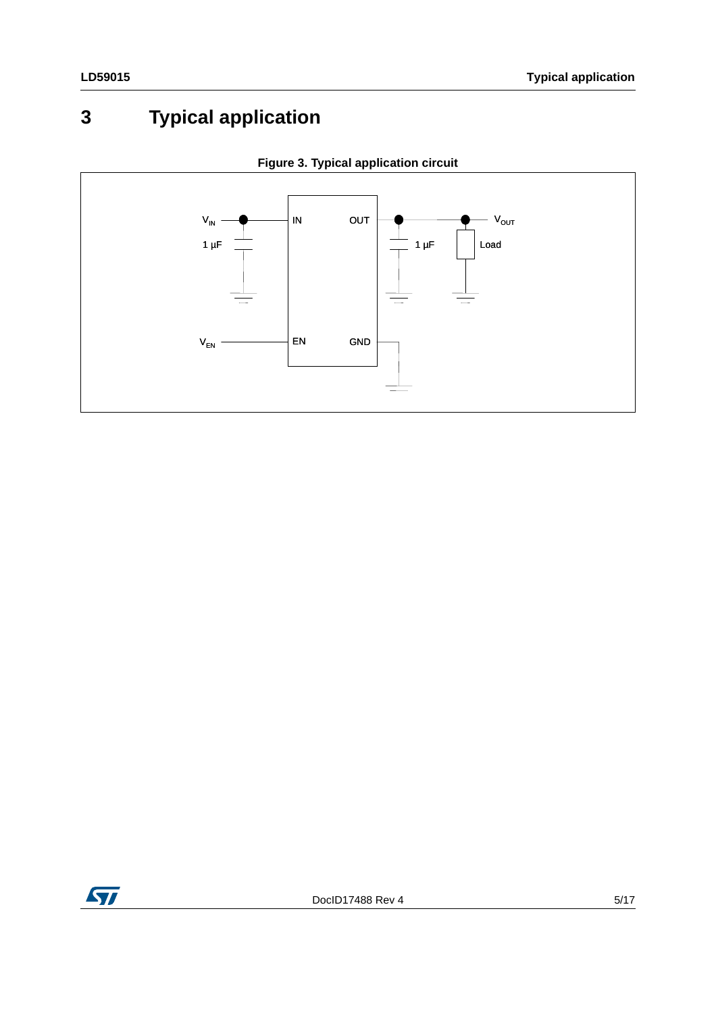## <span id="page-4-0"></span>**3 Typical application**





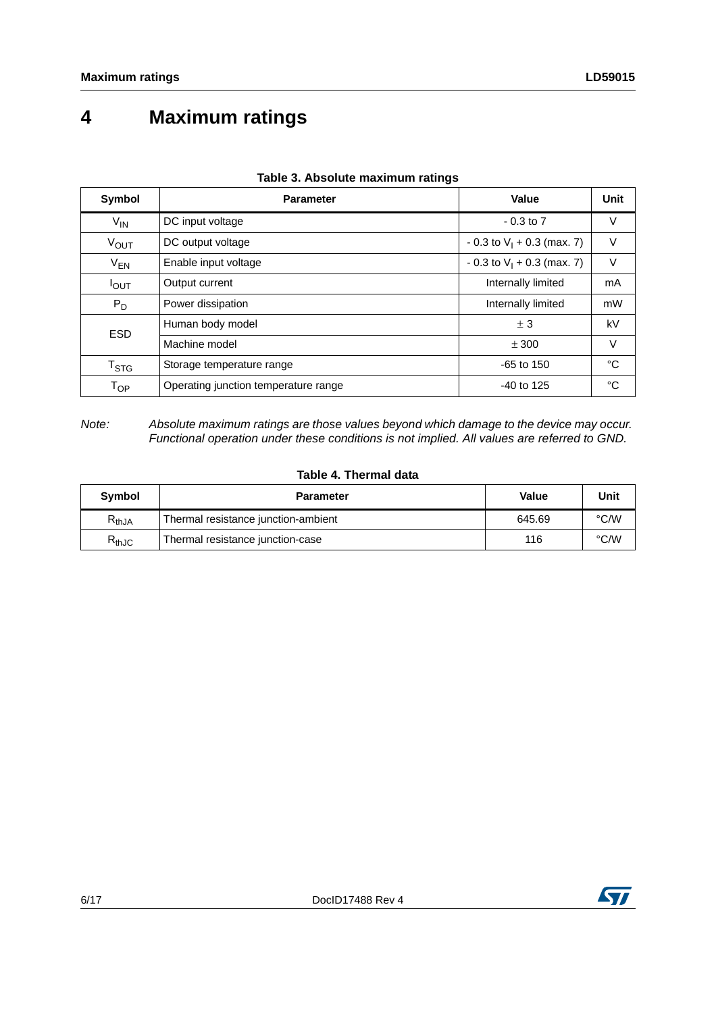### <span id="page-5-0"></span>**4 Maximum ratings**

| Symbol                     | <b>Parameter</b>                     | Value                          | Unit |
|----------------------------|--------------------------------------|--------------------------------|------|
| $V_{IN}$                   | DC input voltage                     | $-0.3$ to $7$                  | V    |
| $V_{\text{OUT}}$           | DC output voltage                    | $-0.3$ to $V_1 + 0.3$ (max. 7) | V    |
| $V_{EN}$                   | Enable input voltage                 | $-0.3$ to $V_1 + 0.3$ (max. 7) | V    |
| $I_{\text{OUT}}$           | Output current                       | Internally limited             | mA   |
| $P_D$                      | Power dissipation                    | Internally limited             | mW   |
| <b>ESD</b>                 | Human body model                     | ± 3                            | kV   |
|                            | Machine model                        | ± 300                          | V    |
| $\mathsf{T}_{\text{STG}}$  | Storage temperature range            | $-65$ to 150                   | °C   |
| $\mathsf{T}_{\mathsf{OP}}$ | Operating junction temperature range | $-40$ to 125                   | °C   |

#### **Table 3. Absolute maximum ratings**

*Note: Absolute maximum ratings are those values beyond which damage to the device may occur. Functional operation under these conditions is not implied. All values are referred to GND.*

#### **Table 4. Thermal data**

| Symbol     | <b>Parameter</b>                    | Value  | Unit |
|------------|-------------------------------------|--------|------|
| $R_{thJA}$ | Thermal resistance junction-ambient | 645.69 | °C/W |
| $R_{thJC}$ | Thermal resistance junction-case    | 116    | °C/W |

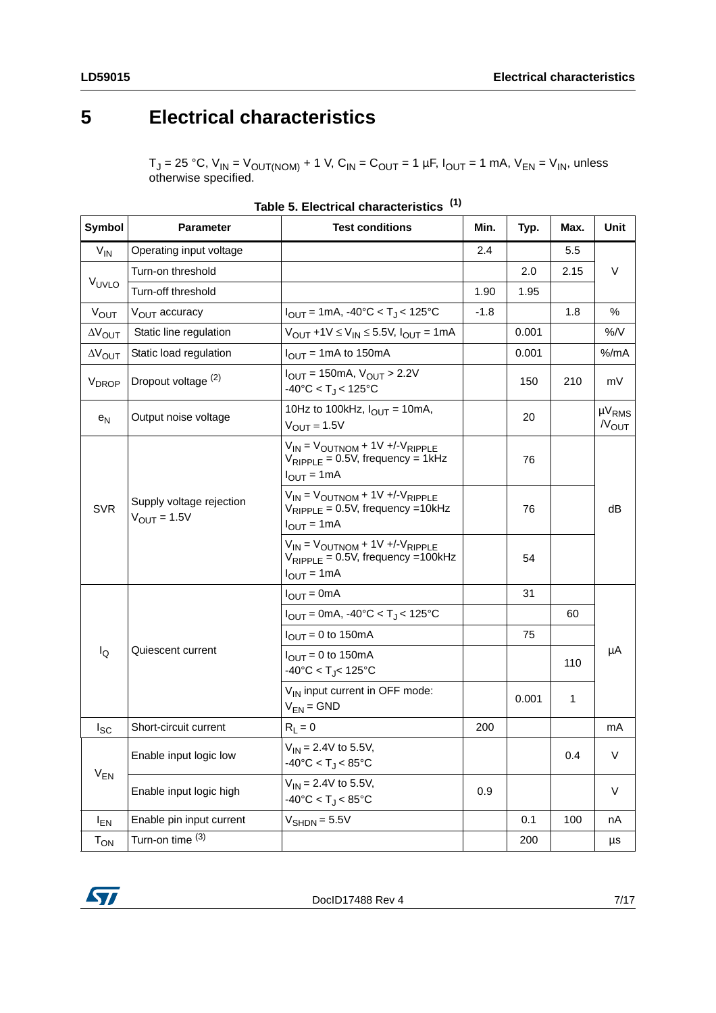### <span id="page-6-0"></span>**5 Electrical characteristics**

 $T_J$  = 25 °C,  $V_{IN}$  =  $V_{OUT(NOM)}$  + 1 V, C<sub>IN</sub> = C<sub>OUT</sub> = 1 µF, I<sub>OUT</sub> = 1 mA, V<sub>EN</sub> = V<sub>IN</sub>, unless otherwise specified.

<span id="page-6-1"></span>

| Symbol                  | <b>Parameter</b>                                    | <b>Test conditions</b>                                                                                                   | Min.   | Typ.  | Max. | Unit                              |  |
|-------------------------|-----------------------------------------------------|--------------------------------------------------------------------------------------------------------------------------|--------|-------|------|-----------------------------------|--|
| $V_{IN}$                | Operating input voltage                             |                                                                                                                          | 2.4    |       | 5.5  |                                   |  |
|                         | Turn-on threshold                                   |                                                                                                                          |        | 2.0   | 2.15 | V                                 |  |
| VUVLO                   | Turn-off threshold                                  |                                                                                                                          | 1.90   | 1.95  |      |                                   |  |
| V <sub>OUT</sub>        | V <sub>OUT</sub> accuracy                           | $I_{\text{OUT}} = 1 \text{mA}$ , -40°C < T <sub>J</sub> < 125°C                                                          | $-1.8$ |       | 1.8  | %                                 |  |
| $\Delta V_{\text{OUT}}$ | Static line regulation                              | $V_{OUT}$ +1V $\leq$ $V_{IN}$ $\leq$ 5.5V, $I_{OUT}$ = 1mA                                                               |        | 0.001 |      | %N                                |  |
| $\Delta V_{\text{OUT}}$ | Static load regulation                              | $I_{\text{OUT}} = 1 \text{mA}$ to 150 mA                                                                                 |        | 0.001 |      | $%$ /mA                           |  |
| V <sub>DROP</sub>       | Dropout voltage (2)                                 | $I_{\text{OUT}} = 150 \text{mA}, V_{\text{OUT}} > 2.2 V$<br>$-40^{\circ}$ C < T <sub>.1</sub> < 125 $^{\circ}$ C         |        | 150   | 210  | mV                                |  |
| $e_N$                   | Output noise voltage                                | 10Hz to 100kHz, $I_{\text{OUT}} = 10 \text{mA}$ ,<br>$V_{OUT} = 1.5V$                                                    |        | 20    |      | $\mu V_{RMS}$<br>N <sub>OUT</sub> |  |
| <b>SVR</b>              | Supply voltage rejection<br>$V_{\text{OUT}} = 1.5V$ | $V_{IN} = V_{OUTNOM} + 1V + / -V_{RIPPLE}$<br>$V_{RIPPLE}$ = 0.5V, frequency = 1kHz<br>$I_{\text{OUT}} = 1 \text{mA}$    |        | 76    |      | dB                                |  |
|                         |                                                     | $V_{IN} = V_{OUTNOM} + 1V + / -V_{RIPPLE}$<br>$V_{RIPPLE} = 0.5V$ , frequency =10kHz<br>$I_{\text{OUT}} = 1 \text{mA}$   |        | 76    |      |                                   |  |
|                         |                                                     | $V_{IN} = V_{OUTNOM} + 1V + / -V_{RIPPLE}$<br>$V_{RIPPI F} = 0.5V$ , frequency =100kHz<br>$I_{\text{OUT}} = 1 \text{mA}$ |        | 54    |      |                                   |  |
|                         |                                                     | $I_{\text{OUT}} = 0 \text{mA}$                                                                                           |        | 31    |      |                                   |  |
|                         | Quiescent current                                   | $I_{\text{OUT}} = 0 \text{mA}$ , -40°C < T <sub>J</sub> < 125°C                                                          |        |       | 60   |                                   |  |
|                         |                                                     | $I_{\text{OUT}} = 0$ to 150mA                                                                                            |        | 75    |      |                                   |  |
| lQ                      |                                                     | $I_{\text{OUT}} = 0$ to 150mA<br>$-40^{\circ}$ C < T <sub>J</sub> < 125°C                                                |        |       | 110  | μA                                |  |
|                         |                                                     | V <sub>IN</sub> input current in OFF mode:<br>$V_{EN} = GND$                                                             |        | 0.001 | 1    |                                   |  |
| $I_{SC}$                | Short-circuit current                               | $R_L = 0$                                                                                                                | 200    |       |      | mA                                |  |
|                         | Enable input logic low                              | $V_{IN} = 2.4V$ to 5.5V,<br>$-40^{\circ}$ C < T <sub>J</sub> < 85 $^{\circ}$ C                                           |        |       | 0.4  | ٧                                 |  |
| $V_{EN}$                | Enable input logic high                             | $V_{IN} = 2.4V$ to 5.5V,<br>$-40^{\circ}$ C < T <sub>J</sub> < 85 $^{\circ}$ C                                           | 0.9    |       |      | V                                 |  |
| $I_{EN}$                | Enable pin input current                            | $V_{\text{SHDN}} = 5.5V$                                                                                                 |        | 0.1   | 100  | nA                                |  |
| $T_{ON}$                | Turn-on time (3)                                    |                                                                                                                          |        | 200   |      | μs                                |  |

| Table 5. Electrical characteristics <sup>(1)</sup> |
|----------------------------------------------------|
|                                                    |

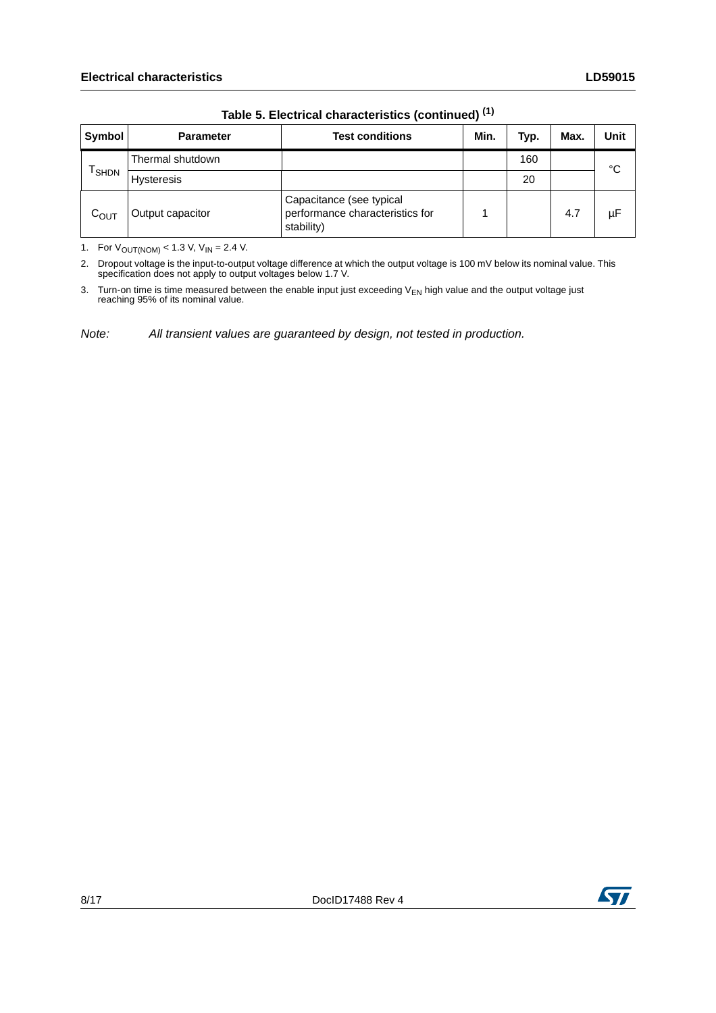| Symbol            | <b>Parameter</b>  | <b>Test conditions</b>                                                    | Min. | Typ. | Max. | Unit |  |
|-------------------|-------------------|---------------------------------------------------------------------------|------|------|------|------|--|
| <sup>I</sup> SHDN | Thermal shutdown  |                                                                           |      | 160  |      | °C   |  |
|                   | <b>Hysteresis</b> |                                                                           |      | 20   |      |      |  |
| $C_{OUT}$         | Output capacitor  | Capacitance (see typical<br>performance characteristics for<br>stability) |      |      | 4.7  | μF   |  |

**Table 5. Electrical characteristics (continued) (1)**

1. For  $V_{\text{OUT}(NOM)} < 1.3$  V,  $V_{\text{IN}} = 2.4$  V.

2. Dropout voltage is the input-to-output voltage difference at which the output voltage is 100 mV below its nominal value. This specification does not apply to output voltages below 1.7 V.

3. Turn-on time is time measured between the enable input just exceeding V<sub>EN</sub> high value and the output voltage just<br>reaching 95% of its nominal value.

*Note: All transient values are guaranteed by design, not tested in production.*

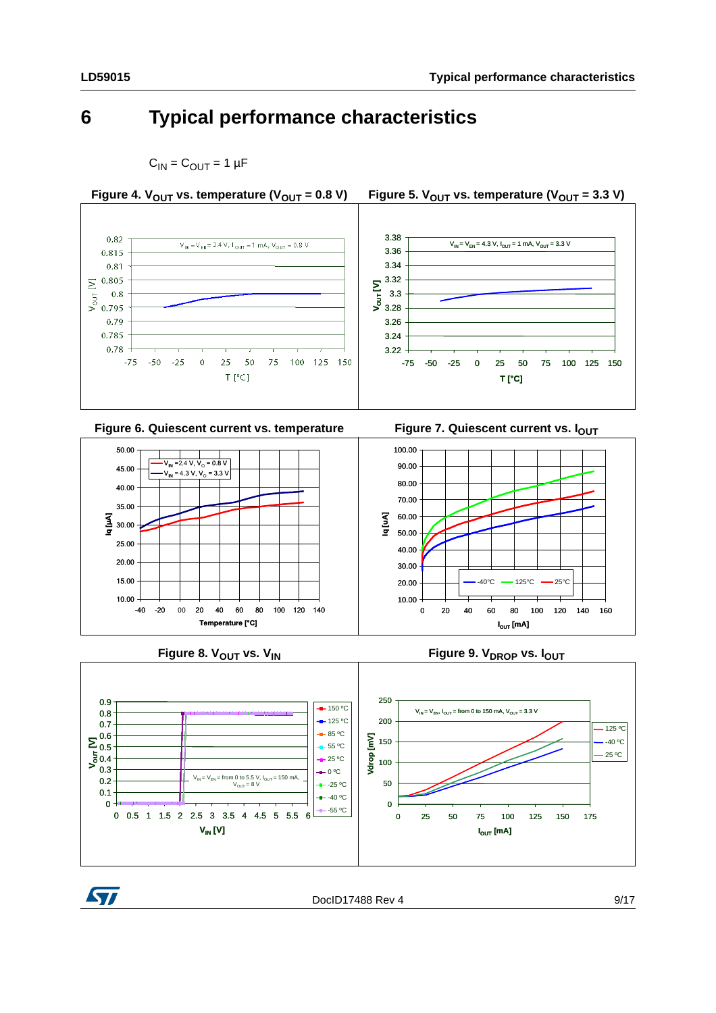#### <span id="page-8-0"></span>**6 Typical performance characteristics**











**Figure 8. V<sub>OUT</sub> vs. V<sub>IN</sub> COUT COUNTER THE RESERVENT COUNTS FIGURE 9. V<sub>DROP</sub> vs. I<sub>OUT</sub>** 





DocID17488 Rev 4 9/17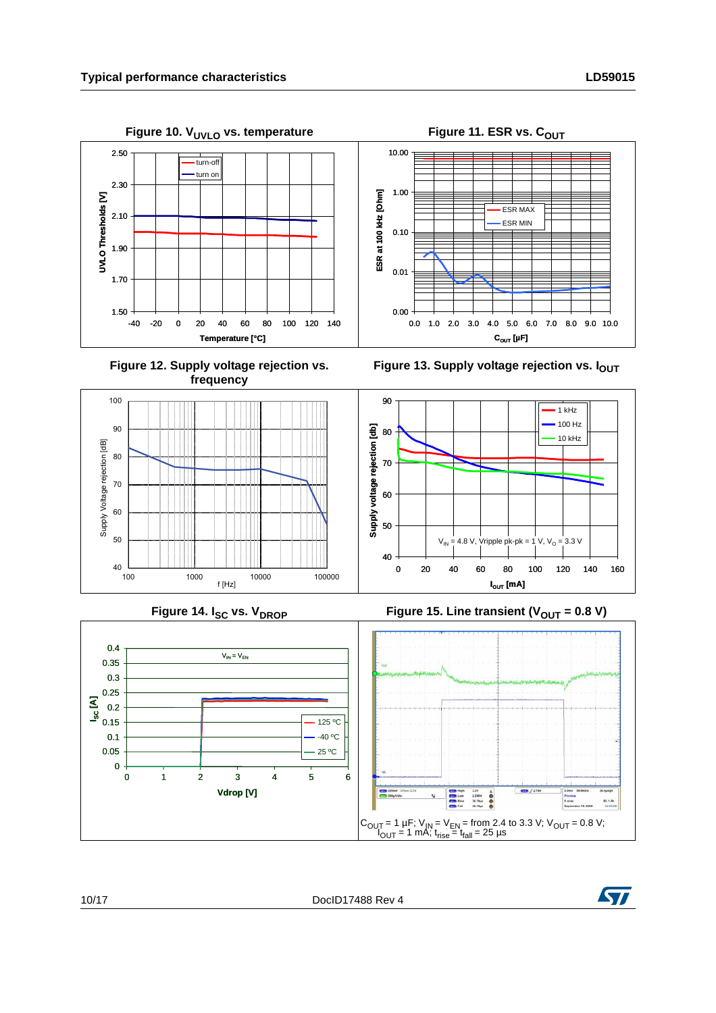















10/17 DocID17488 Rev 4

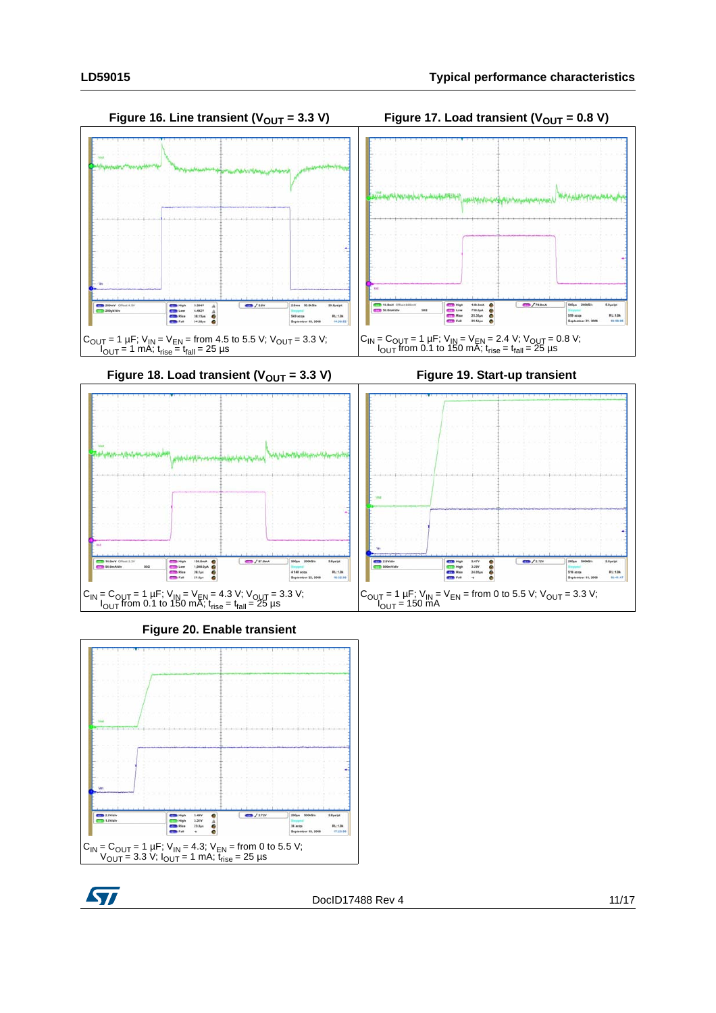



Figure 18. Load transient  $(V_{OUT} = 3.3 V)$  Figure 19. Start-up transient









DocID17488 Rev 4 11/17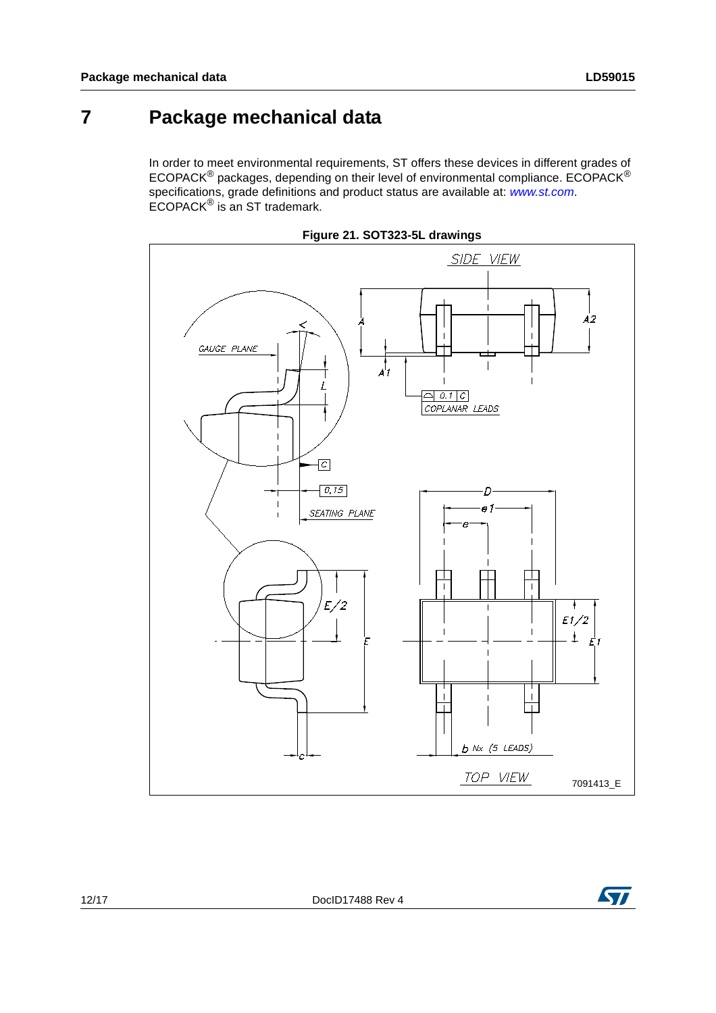#### <span id="page-11-0"></span>**7 Package mechanical data**

In order to meet environmental requirements, ST offers these devices in different grades of ECOPACK® packages, depending on their level of environmental compliance. ECOPACK® specifications, grade definitions and product status are available at: *[www.st.com](http://www.st.com)*. ECOPACK® is an ST trademark.



**Figure 21. SOT323-5L drawings**



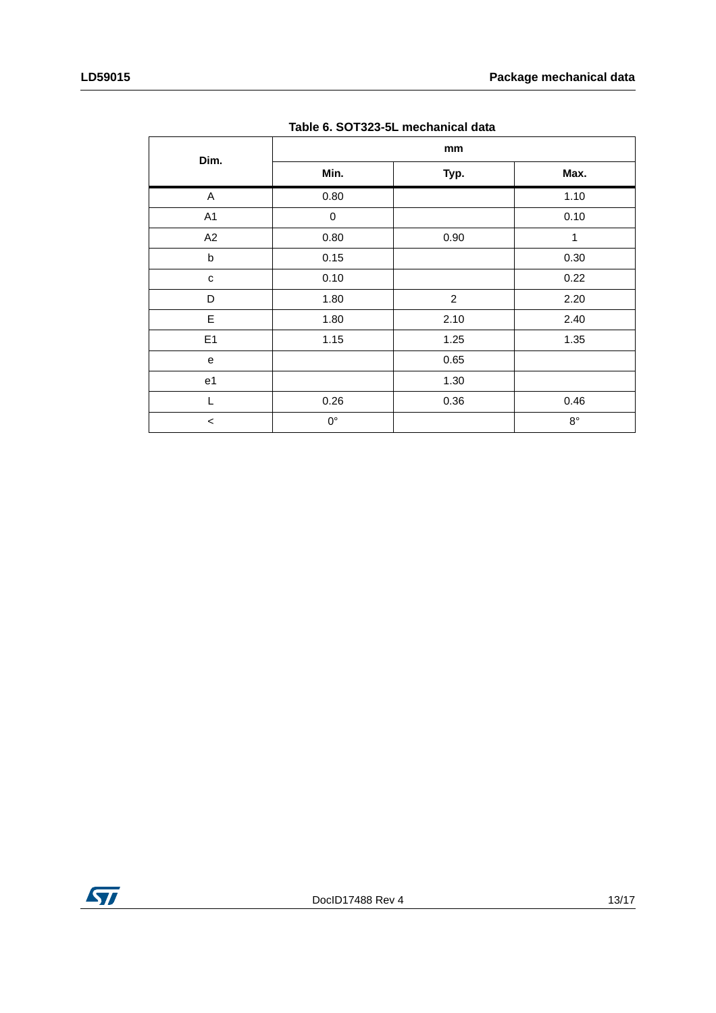| Table 0. 501323-31 Illechanical data |             |                |             |  |  |  |
|--------------------------------------|-------------|----------------|-------------|--|--|--|
| Dim.                                 |             | mm             |             |  |  |  |
|                                      | Min.        | Typ.           | Max.        |  |  |  |
| A                                    | 0.80        |                | 1.10        |  |  |  |
| A1                                   | 0           |                | 0.10        |  |  |  |
| A2                                   | 0.80        | 0.90           | 1           |  |  |  |
| b                                    | 0.15        |                | 0.30        |  |  |  |
| $\mathbf{C}$                         | 0.10        |                | 0.22        |  |  |  |
| D                                    | 1.80        | $\overline{2}$ | 2.20        |  |  |  |
| E                                    | 1.80        | 2.10           | 2.40        |  |  |  |
| E1                                   | 1.15        | 1.25           | 1.35        |  |  |  |
| e                                    |             | 0.65           |             |  |  |  |
| e <sub>1</sub>                       |             | 1.30           |             |  |  |  |
| L                                    | 0.26        | 0.36           | 0.46        |  |  |  |
| $\,<$                                | $0^{\circ}$ |                | $8^{\circ}$ |  |  |  |

**Table 6. SOT323-5L mechanical data**

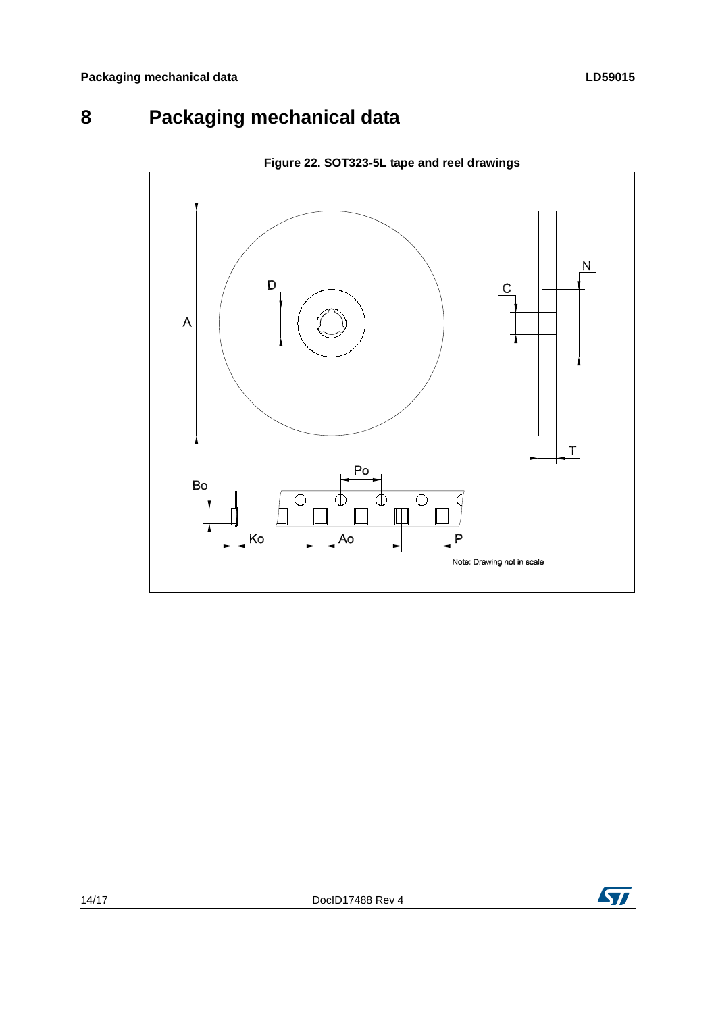## <span id="page-13-0"></span>**8 Packaging mechanical data**



**Figure 22. SOT323-5L tape and reel drawings**

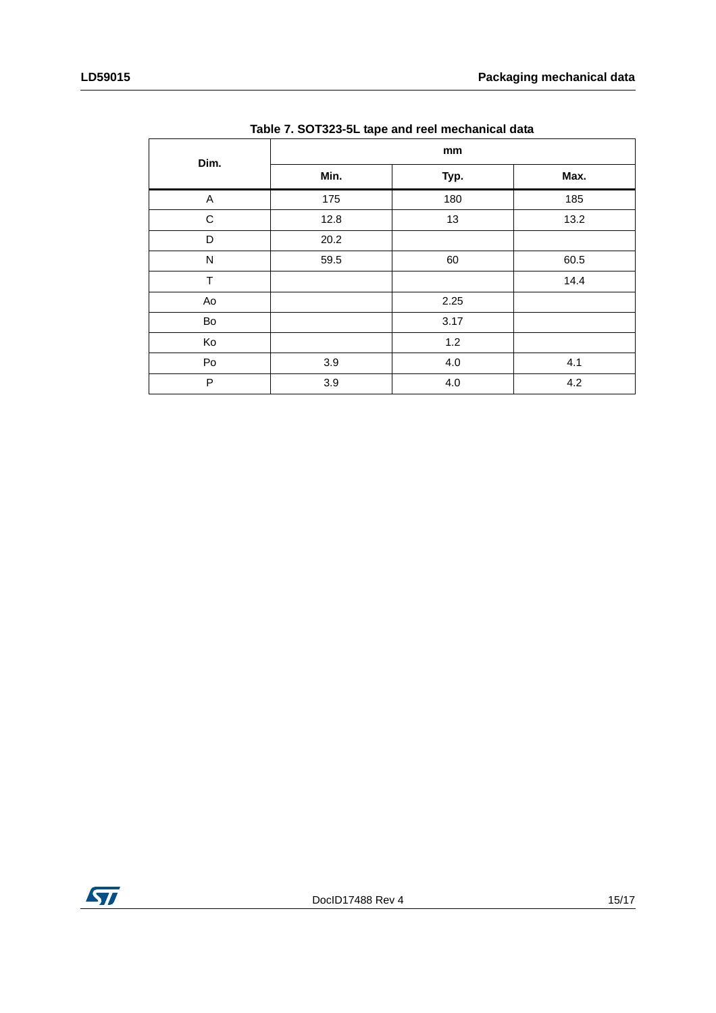| Dim.         | mm   |         |      |  |  |
|--------------|------|---------|------|--|--|
|              | Min. | Typ.    | Max. |  |  |
| A            | 175  | 180     | 185  |  |  |
| $\mathsf C$  | 12.8 | 13      | 13.2 |  |  |
| D            | 20.2 |         |      |  |  |
| $\mathsf{N}$ | 59.5 | 60      | 60.5 |  |  |
| $\top$       |      |         | 14.4 |  |  |
| Ao           |      | 2.25    |      |  |  |
| Bo           |      | 3.17    |      |  |  |
| Ko           |      | 1.2     |      |  |  |
| Po           | 3.9  | $4.0\,$ | 4.1  |  |  |
| P            | 3.9  | 4.0     | 4.2  |  |  |

| Table 7. SOT323-5L tape and reel mechanical data |  |  |
|--------------------------------------------------|--|--|
|                                                  |  |  |

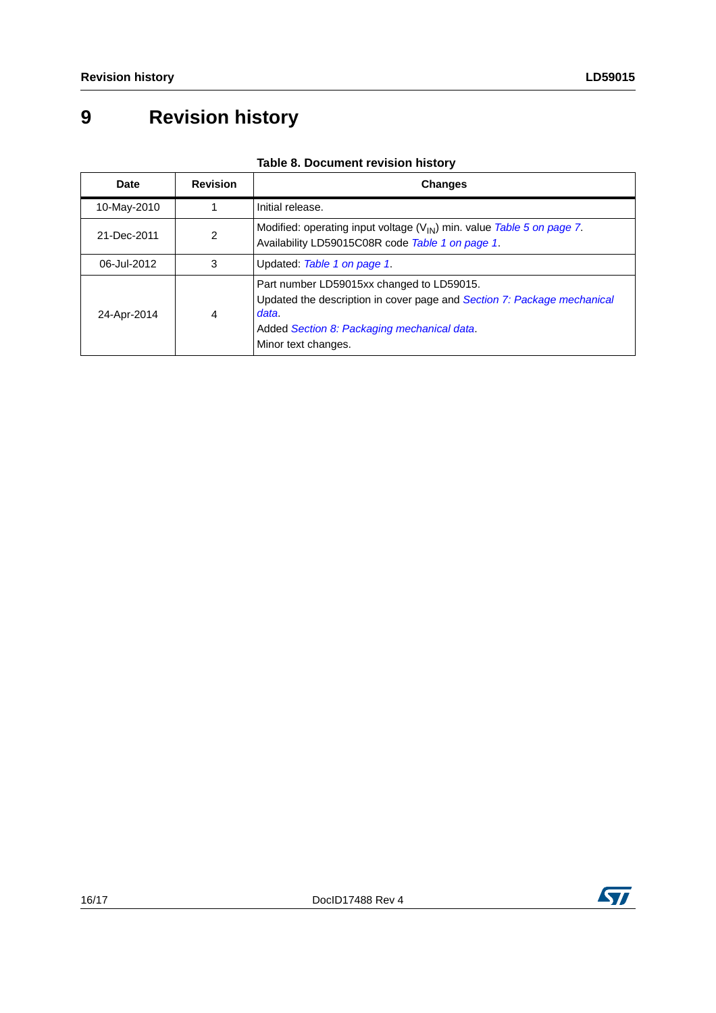## <span id="page-15-0"></span>**9 Revision history**

| Date        | <b>Revision</b> | <b>Changes</b>                                                                                                                                                                                      |
|-------------|-----------------|-----------------------------------------------------------------------------------------------------------------------------------------------------------------------------------------------------|
| 10-May-2010 |                 | Initial release.                                                                                                                                                                                    |
| 21-Dec-2011 | 2               | Modified: operating input voltage ( $V_{IN}$ ) min. value Table 5 on page 7.<br>Availability LD59015C08R code Table 1 on page 1.                                                                    |
| 06-Jul-2012 | 3               | Updated: Table 1 on page 1.                                                                                                                                                                         |
| 24-Apr-2014 | 4               | Part number LD59015xx changed to LD59015.<br>Updated the description in cover page and Section 7: Package mechanical<br>data.<br>Added Section 8: Packaging mechanical data.<br>Minor text changes. |

#### **Table 8. Document revision history**

ST